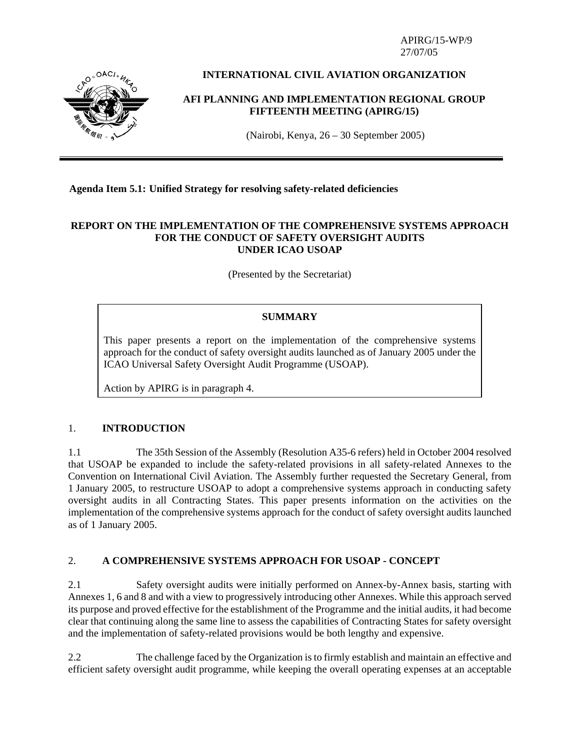APIRG/15-WP/9 27/07/05



# **INTERNATIONAL CIVIL AVIATION ORGANIZATION**

## **AFI PLANNING AND IMPLEMENTATION REGIONAL GROUP FIFTEENTH MEETING (APIRG/15)**

(Nairobi, Kenya, 26 – 30 September 2005)

## **Agenda Item 5.1: Unified Strategy for resolving safety-related deficiencies**

### **REPORT ON THE IMPLEMENTATION OF THE COMPREHENSIVE SYSTEMS APPROACH FOR THE CONDUCT OF SAFETY OVERSIGHT AUDITS UNDER ICAO USOAP**

(Presented by the Secretariat)

## **SUMMARY**

This paper presents a report on the implementation of the comprehensive systems approach for the conduct of safety oversight audits launched as of January 2005 under the ICAO Universal Safety Oversight Audit Programme (USOAP).

Action by APIRG is in paragraph 4.

### 1. **INTRODUCTION**

1.1 The 35th Session of the Assembly (Resolution A35-6 refers) held in October 2004 resolved that USOAP be expanded to include the safety-related provisions in all safety-related Annexes to the Convention on International Civil Aviation. The Assembly further requested the Secretary General, from 1 January 2005, to restructure USOAP to adopt a comprehensive systems approach in conducting safety oversight audits in all Contracting States. This paper presents information on the activities on the implementation of the comprehensive systems approach for the conduct of safety oversight audits launched as of 1 January 2005.

### 2. **A COMPREHENSIVE SYSTEMS APPROACH FOR USOAP - CONCEPT**

2.1 Safety oversight audits were initially performed on Annex-by-Annex basis, starting with Annexes 1, 6 and 8 and with a view to progressively introducing other Annexes. While this approach served its purpose and proved effective for the establishment of the Programme and the initial audits, it had become clear that continuing along the same line to assess the capabilities of Contracting States for safety oversight and the implementation of safety-related provisions would be both lengthy and expensive.

2.2 The challenge faced by the Organization is to firmly establish and maintain an effective and efficient safety oversight audit programme, while keeping the overall operating expenses at an acceptable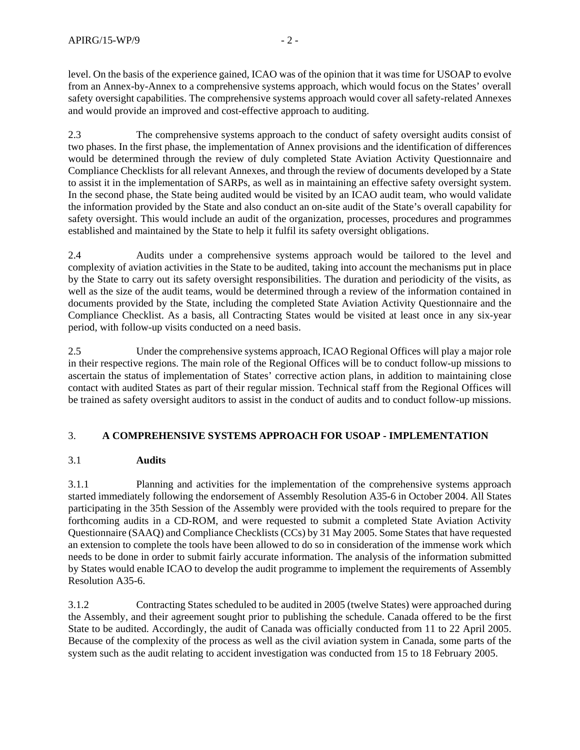level. On the basis of the experience gained, ICAO was of the opinion that it was time for USOAP to evolve from an Annex-by-Annex to a comprehensive systems approach, which would focus on the States' overall safety oversight capabilities. The comprehensive systems approach would cover all safety-related Annexes and would provide an improved and cost-effective approach to auditing.

2.3 The comprehensive systems approach to the conduct of safety oversight audits consist of two phases. In the first phase, the implementation of Annex provisions and the identification of differences would be determined through the review of duly completed State Aviation Activity Questionnaire and Compliance Checklists for all relevant Annexes, and through the review of documents developed by a State to assist it in the implementation of SARPs, as well as in maintaining an effective safety oversight system. In the second phase, the State being audited would be visited by an ICAO audit team, who would validate the information provided by the State and also conduct an on-site audit of the State's overall capability for safety oversight. This would include an audit of the organization, processes, procedures and programmes established and maintained by the State to help it fulfil its safety oversight obligations.

2.4 Audits under a comprehensive systems approach would be tailored to the level and complexity of aviation activities in the State to be audited, taking into account the mechanisms put in place by the State to carry out its safety oversight responsibilities. The duration and periodicity of the visits, as well as the size of the audit teams, would be determined through a review of the information contained in documents provided by the State, including the completed State Aviation Activity Questionnaire and the Compliance Checklist. As a basis, all Contracting States would be visited at least once in any six-year period, with follow-up visits conducted on a need basis.

2.5 Under the comprehensive systems approach, ICAO Regional Offices will play a major role in their respective regions. The main role of the Regional Offices will be to conduct follow-up missions to ascertain the status of implementation of States' corrective action plans, in addition to maintaining close contact with audited States as part of their regular mission. Technical staff from the Regional Offices will be trained as safety oversight auditors to assist in the conduct of audits and to conduct follow-up missions.

## 3. **A COMPREHENSIVE SYSTEMS APPROACH FOR USOAP - IMPLEMENTATION**

## 3.1 **Audits**

3.1.1 Planning and activities for the implementation of the comprehensive systems approach started immediately following the endorsement of Assembly Resolution A35-6 in October 2004. All States participating in the 35th Session of the Assembly were provided with the tools required to prepare for the forthcoming audits in a CD-ROM, and were requested to submit a completed State Aviation Activity Questionnaire (SAAQ) and Compliance Checklists (CCs) by 31 May 2005. Some States that have requested an extension to complete the tools have been allowed to do so in consideration of the immense work which needs to be done in order to submit fairly accurate information. The analysis of the information submitted by States would enable ICAO to develop the audit programme to implement the requirements of Assembly Resolution A35-6.

3.1.2 Contracting States scheduled to be audited in 2005 (twelve States) were approached during the Assembly, and their agreement sought prior to publishing the schedule. Canada offered to be the first State to be audited. Accordingly, the audit of Canada was officially conducted from 11 to 22 April 2005. Because of the complexity of the process as well as the civil aviation system in Canada, some parts of the system such as the audit relating to accident investigation was conducted from 15 to 18 February 2005.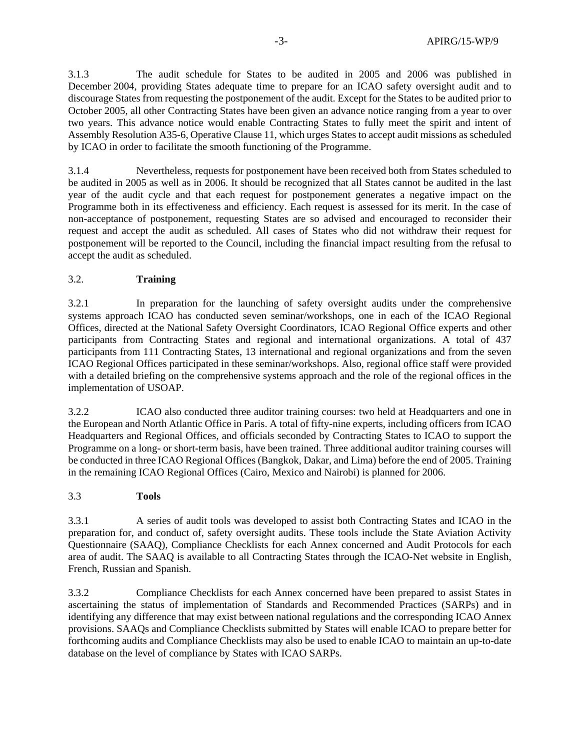3.1.3 The audit schedule for States to be audited in 2005 and 2006 was published in December 2004, providing States adequate time to prepare for an ICAO safety oversight audit and to discourage States from requesting the postponement of the audit. Except for the States to be audited prior to October 2005, all other Contracting States have been given an advance notice ranging from a year to over two years. This advance notice would enable Contracting States to fully meet the spirit and intent of Assembly Resolution A35-6, Operative Clause 11, which urges States to accept audit missions as scheduled by ICAO in order to facilitate the smooth functioning of the Programme.

3.1.4 Nevertheless, requests for postponement have been received both from States scheduled to be audited in 2005 as well as in 2006. It should be recognized that all States cannot be audited in the last year of the audit cycle and that each request for postponement generates a negative impact on the Programme both in its effectiveness and efficiency. Each request is assessed for its merit. In the case of non-acceptance of postponement, requesting States are so advised and encouraged to reconsider their request and accept the audit as scheduled. All cases of States who did not withdraw their request for postponement will be reported to the Council, including the financial impact resulting from the refusal to accept the audit as scheduled.

### 3.2. **Training**

3.2.1 In preparation for the launching of safety oversight audits under the comprehensive systems approach ICAO has conducted seven seminar/workshops, one in each of the ICAO Regional Offices, directed at the National Safety Oversight Coordinators, ICAO Regional Office experts and other participants from Contracting States and regional and international organizations. A total of 437 participants from 111 Contracting States, 13 international and regional organizations and from the seven ICAO Regional Offices participated in these seminar/workshops. Also, regional office staff were provided with a detailed briefing on the comprehensive systems approach and the role of the regional offices in the implementation of USOAP.

3.2.2 ICAO also conducted three auditor training courses: two held at Headquarters and one in the European and North Atlantic Office in Paris. A total of fifty-nine experts, including officers from ICAO Headquarters and Regional Offices, and officials seconded by Contracting States to ICAO to support the Programme on a long- or short-term basis, have been trained. Three additional auditor training courses will be conducted in three ICAO Regional Offices (Bangkok, Dakar, and Lima) before the end of 2005. Training in the remaining ICAO Regional Offices (Cairo, Mexico and Nairobi) is planned for 2006.

### 3.3 **Tools**

3.3.1 A series of audit tools was developed to assist both Contracting States and ICAO in the preparation for, and conduct of, safety oversight audits. These tools include the State Aviation Activity Questionnaire (SAAQ), Compliance Checklists for each Annex concerned and Audit Protocols for each area of audit. The SAAQ is available to all Contracting States through the ICAO-Net website in English, French, Russian and Spanish.

3.3.2 Compliance Checklists for each Annex concerned have been prepared to assist States in ascertaining the status of implementation of Standards and Recommended Practices (SARPs) and in identifying any difference that may exist between national regulations and the corresponding ICAO Annex provisions. SAAQs and Compliance Checklists submitted by States will enable ICAO to prepare better for forthcoming audits and Compliance Checklists may also be used to enable ICAO to maintain an up-to-date database on the level of compliance by States with ICAO SARPs.